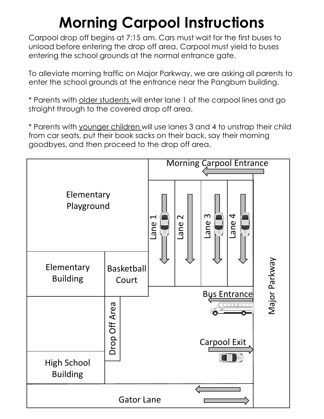## **Morning Carpool Instructions**

Carpool drop off begins at 7:15 am. Cars must wait for the first buses to unload before entering the drop off area. Carpool must yield to buses entering the school grounds at the normal entrance gate.

To alleviate morning traffic on Major Parkway, we are asking all parents to enter the school grounds at the entrance near the Pangburn building.

\* Parents with older students will enter lane 1 of the carpool lines and go straight through to the covered drop off area.

\* Parents with younger children will use lanes 3 and 4 to unstrap their child from car seats, put their book sacks on their back, say their morning goodbyes, and then proceed to the drop off area.

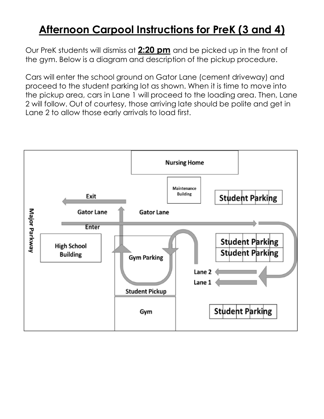## **Afternoon Carpool Instructions for PreK (3 and 4)**

Our PreK students will dismiss at **2:20 pm** and be picked up in the front of the gym. Below is a diagram and description of the pickup procedure.

Cars will enter the school ground on Gator Lane (cement driveway) and proceed to the student parking lot as shown. When it is time to move into the pickup area, cars in Lane 1 will proceed to the loading area. Then, Lane 2 will follow. Out of courtesy, those arriving late should be polite and get in Lane 2 to allow those early arrivals to load first.